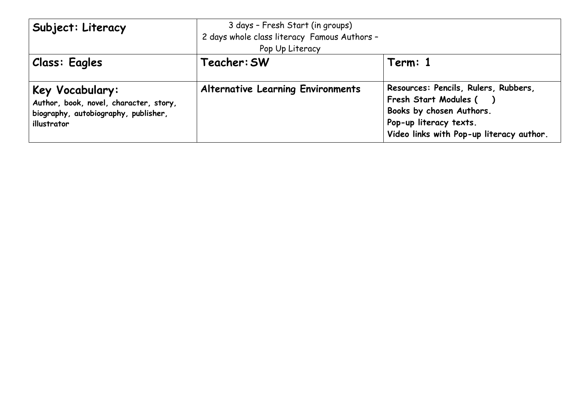| Subject: Literacy Subject                                                                                               | 3 days - Fresh Start (in groups)<br>2 days whole class literacy Famous Authors -<br>Pop Up Literacy |                                                                                                                                                                 |  |  |
|-------------------------------------------------------------------------------------------------------------------------|-----------------------------------------------------------------------------------------------------|-----------------------------------------------------------------------------------------------------------------------------------------------------------------|--|--|
| <b>Class: Eagles</b>                                                                                                    | Teacher: SW                                                                                         | Term: 1                                                                                                                                                         |  |  |
| Key Vocabulary:<br>Author, book, novel, character, story,<br>$\mid$ biography, autobiography, publisher,<br>illustrator | <b>Alternative Learning Environments</b>                                                            | Resources: Pencils, Rulers, Rubbers,<br>Fresh Start Modules (<br>Books by chosen Authors.<br>Pop-up literacy texts.<br>Video links with Pop-up literacy author. |  |  |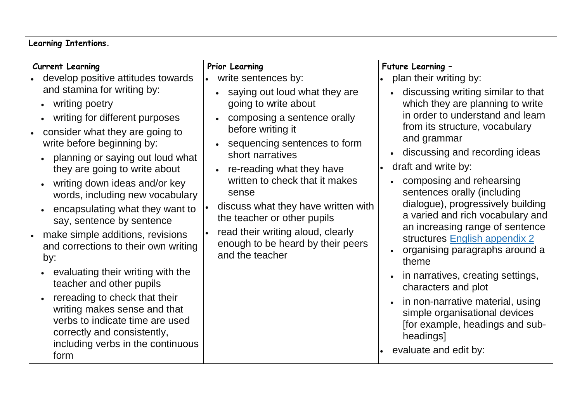| <b>Learning Intentions.</b>                                                                                                                                                                                                                                                                                                                                                                                                                                                                                                                                                                                                                                                                                                                                                                    |                                                                                                                                                                                                                                                                                                                                                                                                                                                         |                                                                                                                                                                                                                                                                                                                                                                                                                                                                                                                                                                                                                                                                                                                                                                                                   |  |  |  |
|------------------------------------------------------------------------------------------------------------------------------------------------------------------------------------------------------------------------------------------------------------------------------------------------------------------------------------------------------------------------------------------------------------------------------------------------------------------------------------------------------------------------------------------------------------------------------------------------------------------------------------------------------------------------------------------------------------------------------------------------------------------------------------------------|---------------------------------------------------------------------------------------------------------------------------------------------------------------------------------------------------------------------------------------------------------------------------------------------------------------------------------------------------------------------------------------------------------------------------------------------------------|---------------------------------------------------------------------------------------------------------------------------------------------------------------------------------------------------------------------------------------------------------------------------------------------------------------------------------------------------------------------------------------------------------------------------------------------------------------------------------------------------------------------------------------------------------------------------------------------------------------------------------------------------------------------------------------------------------------------------------------------------------------------------------------------------|--|--|--|
| Current Learning<br>develop positive attitudes towards<br>and stamina for writing by:<br>writing poetry<br>$\bullet$<br>writing for different purposes<br>consider what they are going to<br>write before beginning by:<br>planning or saying out loud what<br>$\bullet$<br>they are going to write about<br>writing down ideas and/or key<br>words, including new vocabulary<br>encapsulating what they want to<br>say, sentence by sentence<br>make simple additions, revisions<br>and corrections to their own writing<br>by:<br>evaluating their writing with the<br>teacher and other pupils<br>rereading to check that their<br>$\bullet$<br>writing makes sense and that<br>verbs to indicate time are used<br>correctly and consistently,<br>including verbs in the continuous<br>form | Prior Learning<br>write sentences by:<br>• saying out loud what they are<br>going to write about<br>composing a sentence orally<br>before writing it<br>• sequencing sentences to form<br>short narratives<br>• re-reading what they have<br>written to check that it makes<br>sense<br>discuss what they have written with<br>the teacher or other pupils<br>read their writing aloud, clearly<br>enough to be heard by their peers<br>and the teacher | Future Learning -<br>plan their writing by:<br>discussing writing similar to that<br>$\bullet$<br>which they are planning to write<br>in order to understand and learn<br>from its structure, vocabulary<br>and grammar<br>discussing and recording ideas<br>$\bullet$<br>draft and write by:<br>composing and rehearsing<br>$\bullet$<br>sentences orally (including<br>dialogue), progressively building<br>a varied and rich vocabulary and<br>an increasing range of sentence<br>structures English appendix 2<br>organising paragraphs around a<br>$\bullet$<br>theme<br>in narratives, creating settings,<br>$\bullet$<br>characters and plot<br>in non-narrative material, using<br>simple organisational devices<br>[for example, headings and sub-<br>headings]<br>evaluate and edit by: |  |  |  |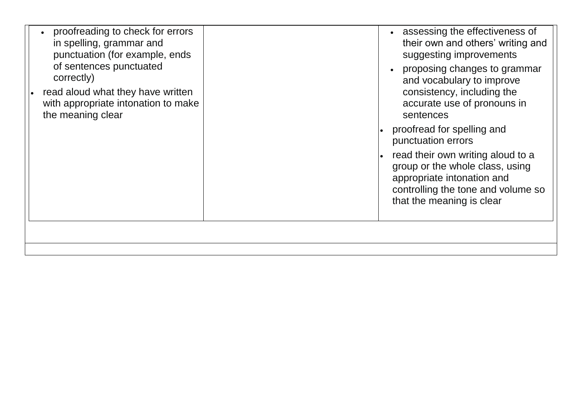| proofreading to check for errors<br>in spelling, grammar and<br>punctuation (for example, ends<br>of sentences punctuated<br>correctly)<br>read aloud what they have written<br>with appropriate intonation to make<br>the meaning clear | assessing the effectiveness of<br>their own and others' writing and<br>suggesting improvements<br>proposing changes to grammar<br>and vocabulary to improve<br>consistency, including the<br>accurate use of pronouns in<br>sentences<br>proofread for spelling and<br>punctuation errors<br>read their own writing aloud to a<br>group or the whole class, using<br>appropriate intonation and<br>controlling the tone and volume so<br>that the meaning is clear |
|------------------------------------------------------------------------------------------------------------------------------------------------------------------------------------------------------------------------------------------|--------------------------------------------------------------------------------------------------------------------------------------------------------------------------------------------------------------------------------------------------------------------------------------------------------------------------------------------------------------------------------------------------------------------------------------------------------------------|
|                                                                                                                                                                                                                                          |                                                                                                                                                                                                                                                                                                                                                                                                                                                                    |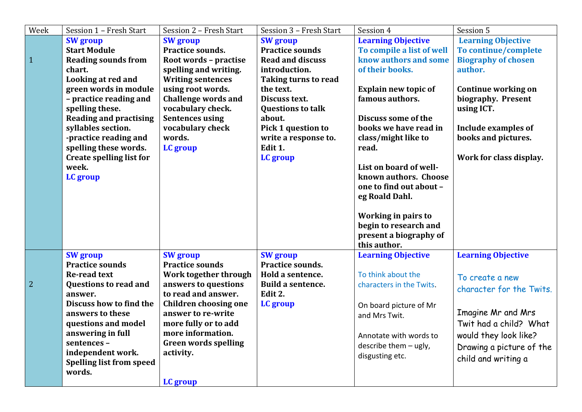| Week           | Session 1 - Fresh Start         | Session 2 - Fresh Start      | Session 3 - Fresh Start   | Session 4                              | Session 5                  |
|----------------|---------------------------------|------------------------------|---------------------------|----------------------------------------|----------------------------|
|                | <b>SW</b> group                 | <b>SW</b> group              | <b>SW</b> group           | <b>Learning Objective</b>              | <b>Learning Objective</b>  |
|                | <b>Start Module</b>             | Practice sounds.             | <b>Practice sounds</b>    | To compile a list of well              | To continue/complete       |
| $\mathbf{1}$   | <b>Reading sounds from</b>      | Root words - practise        | <b>Read and discuss</b>   | know authors and some                  | <b>Biography of chosen</b> |
|                | chart.                          | spelling and writing.        | introduction.             | of their books.                        | author.                    |
|                | Looking at red and              | <b>Writing sentences</b>     | Taking turns to read      |                                        |                            |
|                | green words in module           | using root words.            | the text.                 | <b>Explain new topic of</b>            | Continue working on        |
|                | - practice reading and          | <b>Challenge words and</b>   | Discuss text.             | famous authors.                        | biography. Present         |
|                | spelling these.                 | vocabulary check.            | <b>Questions to talk</b>  |                                        | using ICT.                 |
|                | <b>Reading and practising</b>   | <b>Sentences using</b>       | about.                    | Discuss some of the                    |                            |
|                | syllables section.              | vocabulary check             | <b>Pick 1 question to</b> | books we have read in                  | Include examples of        |
|                | -practice reading and           | words.                       | write a response to.      | class/might like to                    | books and pictures.        |
|                | spelling these words.           | LC group                     | Edit 1.                   | read.                                  |                            |
|                | <b>Create spelling list for</b> |                              | LC group                  |                                        | Work for class display.    |
|                | week.                           |                              |                           | List on board of well-                 |                            |
|                | LC group                        |                              |                           | known authors. Choose                  |                            |
|                |                                 |                              |                           | one to find out about -                |                            |
|                |                                 |                              |                           | eg Roald Dahl.                         |                            |
|                |                                 |                              |                           |                                        |                            |
|                |                                 |                              |                           | Working in pairs to                    |                            |
|                |                                 |                              |                           | begin to research and                  |                            |
|                |                                 |                              |                           | present a biography of<br>this author. |                            |
|                | <b>SW</b> group                 | <b>SW</b> group              | <b>SW</b> group           | <b>Learning Objective</b>              | <b>Learning Objective</b>  |
|                | <b>Practice sounds</b>          | <b>Practice sounds</b>       | Practice sounds.          |                                        |                            |
|                | <b>Re-read text</b>             | Work together through        | Hold a sentence.          | To think about the                     |                            |
| $\overline{2}$ | <b>Questions to read and</b>    | answers to questions         | Build a sentence.         | characters in the Twits.               | To create a new            |
|                | answer.                         | to read and answer.          | Edit 2.                   |                                        | character for the Twits.   |
|                | Discuss how to find the         | <b>Children choosing one</b> | LC group                  | On board picture of Mr                 |                            |
|                | answers to these                | answer to re-write           |                           | and Mrs Twit.                          | Imagine Mr and Mrs         |
|                | questions and model             | more fully or to add         |                           |                                        | Twit had a child? What     |
|                | answering in full               | more information.            |                           | Annotate with words to                 | would they look like?      |
|                | sentences-                      | <b>Green words spelling</b>  |                           | describe them - ugly,                  |                            |
|                | independent work.               | activity.                    |                           | disgusting etc.                        | Drawing a picture of the   |
|                | <b>Spelling list from speed</b> |                              |                           |                                        | child and writing a        |
|                | words.                          |                              |                           |                                        |                            |
|                |                                 | LC group                     |                           |                                        |                            |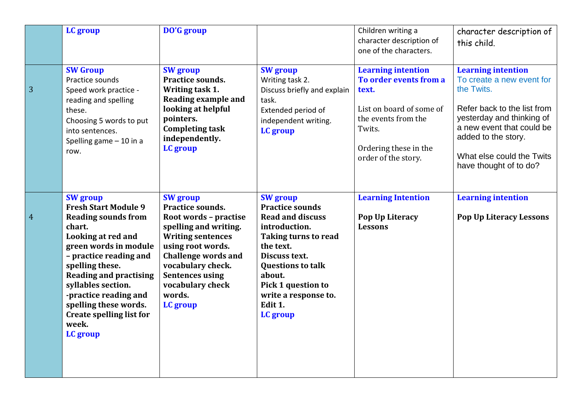|                 | LC group                                                                                                                                                                                                                                                                                                                                            | DO'G group                                                                                                                                                                                                                                                    |                                                                                                                                                                                                                                                        | Children writing a<br>character description of<br>one of the characters.                                                                                                  | character description of<br>this child.                                                                                                                                                                                                     |
|-----------------|-----------------------------------------------------------------------------------------------------------------------------------------------------------------------------------------------------------------------------------------------------------------------------------------------------------------------------------------------------|---------------------------------------------------------------------------------------------------------------------------------------------------------------------------------------------------------------------------------------------------------------|--------------------------------------------------------------------------------------------------------------------------------------------------------------------------------------------------------------------------------------------------------|---------------------------------------------------------------------------------------------------------------------------------------------------------------------------|---------------------------------------------------------------------------------------------------------------------------------------------------------------------------------------------------------------------------------------------|
| $\overline{3}$  | <b>SW Group</b><br>Practice sounds<br>Speed work practice -<br>reading and spelling<br>these.<br>Choosing 5 words to put<br>into sentences.<br>Spelling game $-10$ in a<br>row.                                                                                                                                                                     | <b>SW</b> group<br>Practice sounds.<br>Writing task 1.<br><b>Reading example and</b><br>looking at helpful<br>pointers.<br><b>Completing task</b><br>independently.<br>LC group                                                                               | <b>SW</b> group<br>Writing task 2.<br>Discuss briefly and explain<br>task.<br>Extended period of<br>independent writing.<br>LC group                                                                                                                   | <b>Learning intention</b><br>To order events from a<br>text.<br>List on board of some of<br>the events from the<br>Twits.<br>Ordering these in the<br>order of the story. | <b>Learning intention</b><br>To create a new event for<br>the Twits.<br>Refer back to the list from<br>yesterday and thinking of<br>a new event that could be<br>added to the story.<br>What else could the Twits<br>have thought of to do? |
| $\vert 4 \vert$ | <b>SW</b> group<br><b>Fresh Start Module 9</b><br><b>Reading sounds from</b><br>chart.<br>Looking at red and<br>green words in module<br>- practice reading and<br>spelling these.<br><b>Reading and practising</b><br>syllables section.<br>-practice reading and<br>spelling these words.<br><b>Create spelling list for</b><br>week.<br>LC group | <b>SW</b> group<br>Practice sounds.<br>Root words - practise<br>spelling and writing.<br><b>Writing sentences</b><br>using root words.<br><b>Challenge words and</b><br>vocabulary check.<br><b>Sentences using</b><br>vocabulary check<br>words.<br>LC group | <b>SW</b> group<br><b>Practice sounds</b><br><b>Read and discuss</b><br>introduction.<br>Taking turns to read<br>the text.<br>Discuss text.<br><b>Questions to talk</b><br>about.<br>Pick 1 question to<br>write a response to.<br>Edit 1.<br>LC group | <b>Learning Intention</b><br>Pop Up Literacy<br><b>Lessons</b>                                                                                                            | <b>Learning intention</b><br>Pop Up Literacy Lessons                                                                                                                                                                                        |